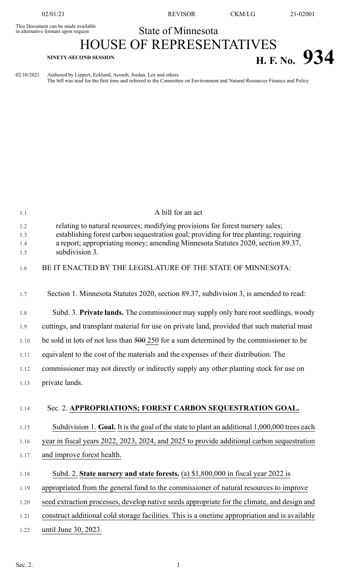This Document can be made available<br>in alternative formats upon request

02/01/21 REVISOR CKM/LG 21-02001

## State of Minnesota

## HOUSE OF REPRESENTATIVES **H. F. No.**  $934$

02/10/2021 Authored by Lippert, Ecklund, Acomb, Jordan, Lee and others The bill was read for the first time and referred to the Committee on Environment and Natural Resources Finance and Policy

| 1.1                      | A bill for an act                                                                                                                                                                                                                                                           |
|--------------------------|-----------------------------------------------------------------------------------------------------------------------------------------------------------------------------------------------------------------------------------------------------------------------------|
| 1.2<br>1.3<br>1.4<br>1.5 | relating to natural resources; modifying provisions for forest nursery sales;<br>establishing forest carbon sequestration goal; providing for tree planting; requiring<br>a report; appropriating money; amending Minnesota Statutes 2020, section 89.37,<br>subdivision 3. |
| 1.6                      | BE IT ENACTED BY THE LEGISLATURE OF THE STATE OF MINNESOTA:                                                                                                                                                                                                                 |
| 1.7                      | Section 1. Minnesota Statutes 2020, section 89.37, subdivision 3, is amended to read:                                                                                                                                                                                       |
| 1.8                      | Subd. 3. Private lands. The commissioner may supply only bare root seedlings, woody                                                                                                                                                                                         |
| 1.9                      | cuttings, and transplant material for use on private land, provided that such material must                                                                                                                                                                                 |
| 1.10                     | be sold in lots of not less than $500$ 250 for a sum determined by the commissioner to be                                                                                                                                                                                   |
| 1.11                     | equivalent to the cost of the materials and the expenses of their distribution. The                                                                                                                                                                                         |
| 1.12                     | commissioner may not directly or indirectly supply any other planting stock for use on                                                                                                                                                                                      |
| 1.13                     | private lands.                                                                                                                                                                                                                                                              |
| 1.14                     | Sec. 2. APPROPRIATIONS; FOREST CARBON SEQUESTRATION GOAL.                                                                                                                                                                                                                   |
| 1.15                     | Subdivision 1. Goal. It is the goal of the state to plant an additional 1,000,000 trees each                                                                                                                                                                                |
| 1.16                     | year in fiscal years 2022, 2023, 2024, and 2025 to provide additional carbon sequestration                                                                                                                                                                                  |
| 1.17                     | and improve forest health.                                                                                                                                                                                                                                                  |
| 1.18                     | Subd. 2. State nursery and state forests. (a) \$1,800,000 in fiscal year 2022 is                                                                                                                                                                                            |
| 1.19                     | appropriated from the general fund to the commissioner of natural resources to improve                                                                                                                                                                                      |
| 1.20                     | seed extraction processes, develop native seeds appropriate for the climate, and design and                                                                                                                                                                                 |
| 1.21                     | construct additional cold storage facilities. This is a onetime appropriation and is available                                                                                                                                                                              |
| 1.22                     | until June 30, 2023.                                                                                                                                                                                                                                                        |